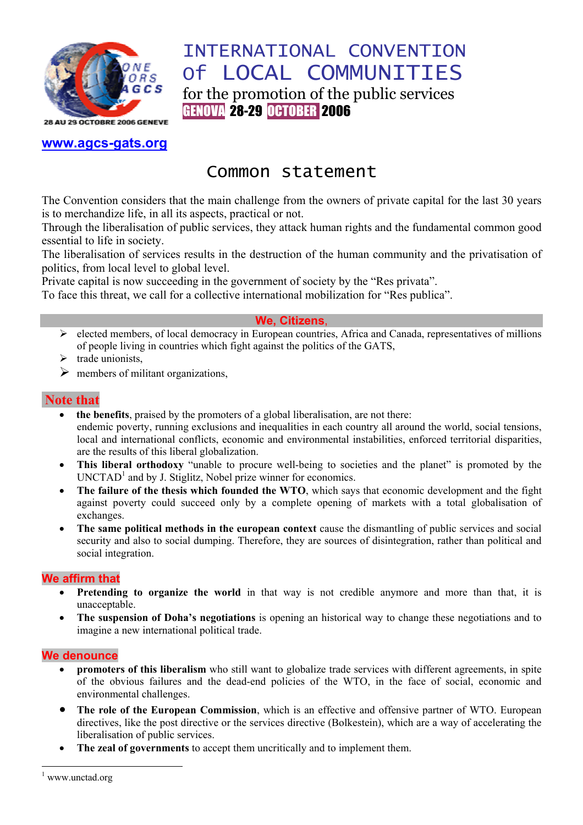

# INTERNATIONAL CONVENTION Of LOCAL COMMUNITIES for the promotion of the public services GENOVA 28-29 OCTOBER 2006

**www.agcs-gats.org**

# Common statement

The Convention considers that the main challenge from the owners of private capital for the last 30 years is to merchandize life, in all its aspects, practical or not.

Through the liberalisation of public services, they attack human rights and the fundamental common good essential to life in society.

The liberalisation of services results in the destruction of the human community and the privatisation of politics, from local level to global level.

Private capital is now succeeding in the government of society by the "Res privata".

To face this threat, we call for a collective international mobilization for "Res publica".

## **We, Citizens**,

- ¾ elected members, of local democracy in European countries, Africa and Canada, representatives of millions of people living in countries which fight against the politics of the GATS,
- $\triangleright$  trade unionists,
- $\triangleright$  members of militant organizations,

# **Note that**

- **the benefits**, praised by the promoters of a global liberalisation, are not there: endemic poverty, running exclusions and inequalities in each country all around the world, social tensions, local and international conflicts, economic and environmental instabilities, enforced territorial disparities, are the results of this liberal globalization.
- **This liberal orthodoxy** "unable to procure well-being to societies and the planet" is promoted by the  $UNCTAD<sup>1</sup>$  and by J. Stiglitz, Nobel prize winner for economics.
- **The failure of the thesis which founded the WTO**, which says that economic development and the fight against poverty could succeed only by a complete opening of markets with a total globalisation of exchanges.
- **The same political methods in the european context** cause the dismantling of public services and social security and also to social dumping. Therefore, they are sources of disintegration, rather than political and social integration.

## **We affirm that**

- **Pretending to organize the world** in that way is not credible anymore and more than that, it is unacceptable.
- **The suspension of Doha's negotiations** is opening an historical way to change these negotiations and to imagine a new international political trade.

#### **We denounce**

- **promoters of this liberalism** who still want to globalize trade services with different agreements, in spite of the obvious failures and the dead-end policies of the WTO, in the face of social, economic and environmental challenges.
- **The role of the European Commission**, which is an effective and offensive partner of WTO. European directives, like the post directive or the services directive (Bolkestein), which are a way of accelerating the liberalisation of public services.
- **The zeal of governments** to accept them uncritically and to implement them.

 $\overline{a}$ 

<sup>1</sup> www.unctad.org